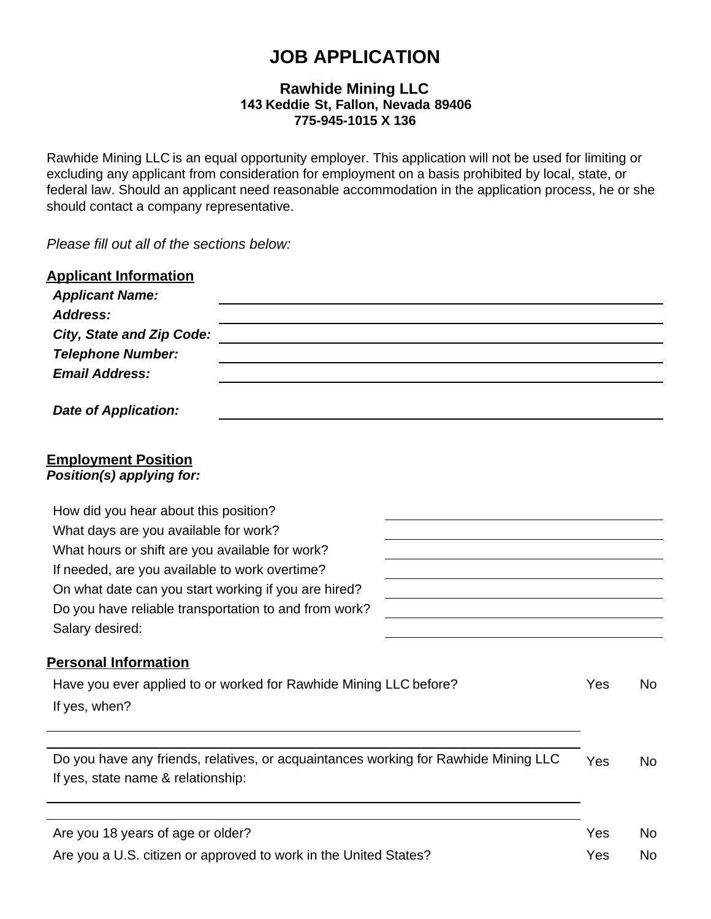# **JOB APPLICATION**

# **Rawhide Mining LLC 143 Keddie St, Fallon, Nevada 89406 775-945-1015 X 136**

Rawhide Mining LLC is an equal opportunity employer. This application will not be used for limiting or excluding any applicant from consideration for employment on a basis prohibited by local, state, or federal law. Should an applicant need reasonable accommodation in the application process, he or she should contact a company representative.

*Please fill out all of the sections below:*

| <b>Applicant Information</b><br><b>Applicant Name:</b>                                   |     |           |  |                                                |
|------------------------------------------------------------------------------------------|-----|-----------|--|------------------------------------------------|
| <b>Address:</b><br><b>City, State and Zip Code:</b>                                      |     |           |  |                                                |
| <b>Telephone Number:</b>                                                                 |     |           |  |                                                |
| <b>Email Address:</b>                                                                    |     |           |  |                                                |
| <b>Date of Application:</b>                                                              |     |           |  |                                                |
| <b>Employment Position</b><br>Position(s) applying for:                                  |     |           |  |                                                |
| How did you hear about this position?                                                    |     |           |  |                                                |
| What days are you available for work?<br>What hours or shift are you available for work? |     |           |  |                                                |
|                                                                                          |     |           |  | If needed, are you available to work overtime? |
| On what date can you start working if you are hired?                                     |     |           |  |                                                |
| Do you have reliable transportation to and from work?                                    |     |           |  |                                                |
| Salary desired:                                                                          |     |           |  |                                                |
| <b>Personal Information</b>                                                              |     |           |  |                                                |
| Have you ever applied to or worked for Rawhide Mining LLC before?                        | Yes | <b>No</b> |  |                                                |
| If yes, when?                                                                            |     |           |  |                                                |
| Do you have any friends, relatives, or acquaintances working for Rawhide Mining LLC      | Yes | <b>No</b> |  |                                                |
| If yes, state name & relationship:                                                       |     |           |  |                                                |
| Are you 18 years of age or older?                                                        | Yes | No        |  |                                                |
| Are you a U.S. citizen or approved to work in the United States?                         | Yes | No        |  |                                                |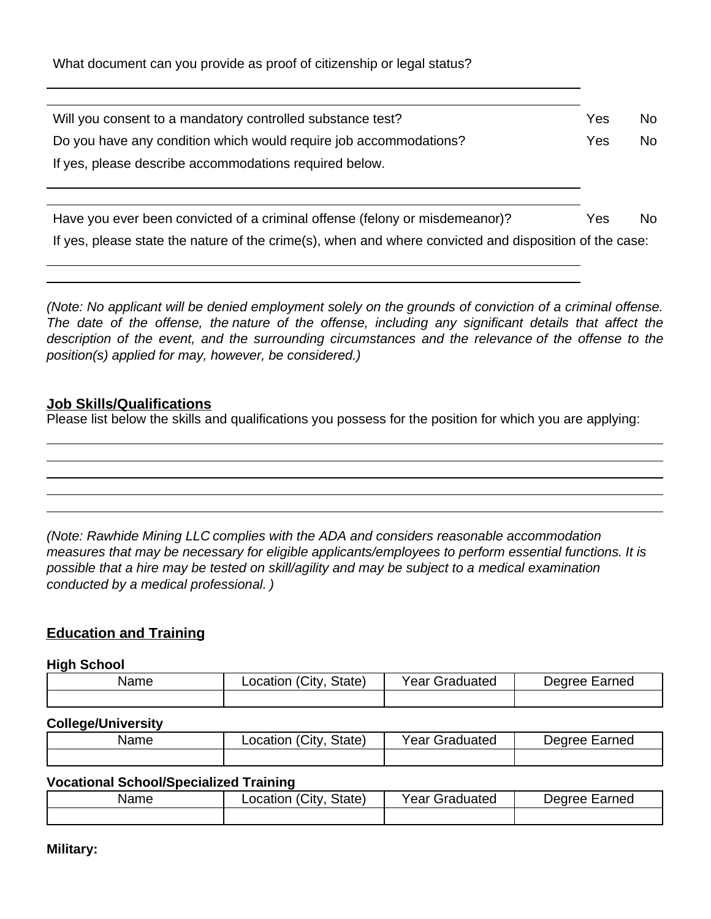What document can you provide as proof of citizenship or legal status?

| Will you consent to a mandatory controlled substance test?                  | Yes | No. |
|-----------------------------------------------------------------------------|-----|-----|
| Do you have any condition which would require job accommodations?           | Yes | No. |
| If yes, please describe accommodations required below.                      |     |     |
|                                                                             |     |     |
| Have you ever been convicted of a criminal offense (felony or misdemeanor)? | Yes | No. |

|  | If yes, please state the nature of the crime(s), when and where convicted and disposition of the case: |  |  |
|--|--------------------------------------------------------------------------------------------------------|--|--|
|  |                                                                                                        |  |  |

*(Note: No applicant will be denied employment solely on the grounds of conviction of a criminal offense. The date of the offense, the nature of the offense, including any significant details that affect the description of the event, and the surrounding circumstances and the relevance of the offense to the position(s) applied for may, however, be considered.)*

## **Job Skills/Qualifications**

Please list below the skills and qualifications you possess for the position for which you are applying:

*(Note: Rawhide Mining LLC complies with the ADA and considers reasonable accommodation measures that may be necessary for eligible applicants/employees to perform essential functions. It is possible that a hire may be tested on skill/agility and may be subject to a medical examination conducted by a medical professional. )*

# **Education and Training**

#### **High School**

| Name | City.<br>State)<br>Location | Year (<br>Graduated | Earned<br>Dearee ' |
|------|-----------------------------|---------------------|--------------------|
|      |                             |                     |                    |

#### **College/University**

| Name | Location (City<br>State) | <b>Year Graduated</b> | Degree Earned |
|------|--------------------------|-----------------------|---------------|
|      |                          |                       |               |

#### **Vocational School/Specialized Training**

| Name | Location (City, State) | Year Graduated | Degree Earned |
|------|------------------------|----------------|---------------|
|      |                        |                |               |

**Military:**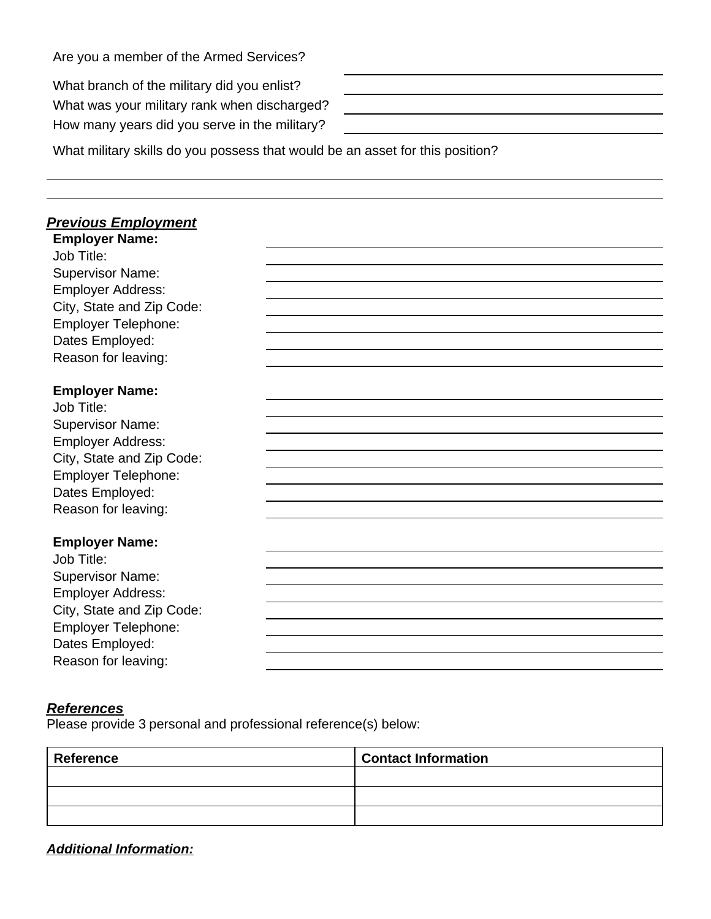Are you a member of the Armed Services?

What branch of the military did you enlist<sup>®</sup> What was your military rank when discha How many years did you serve in the military

| 2      |  |
|--------|--|
| rged?  |  |
| itary? |  |
|        |  |

What military skills do you possess that would be an asset for this position?

## *Previous Employment* **Employer Name:**

Job Title: Supervisor Name: Employer Address: City, State and Zip Code: Employer Telephone: Dates Employed: Reason for leaving:

#### **Employer Name:**

| Job Title:                |
|---------------------------|
| <b>Supervisor Name:</b>   |
| <b>Employer Address:</b>  |
| City, State and Zip Code: |
| Employer Telephone:       |
| Dates Employed:           |
| Reason for leaving:       |

#### **Employer Name:**

Job Title: Supervisor Name: Employer Address: City, State and Zip Code: Employer Telephone: Dates Employed: Reason for leaving:

#### *References*

Please provide 3 personal and professional reference(s) below:

| Reference | <b>Contact Information</b> |
|-----------|----------------------------|
|           |                            |
|           |                            |
|           |                            |

*Additional Information:*